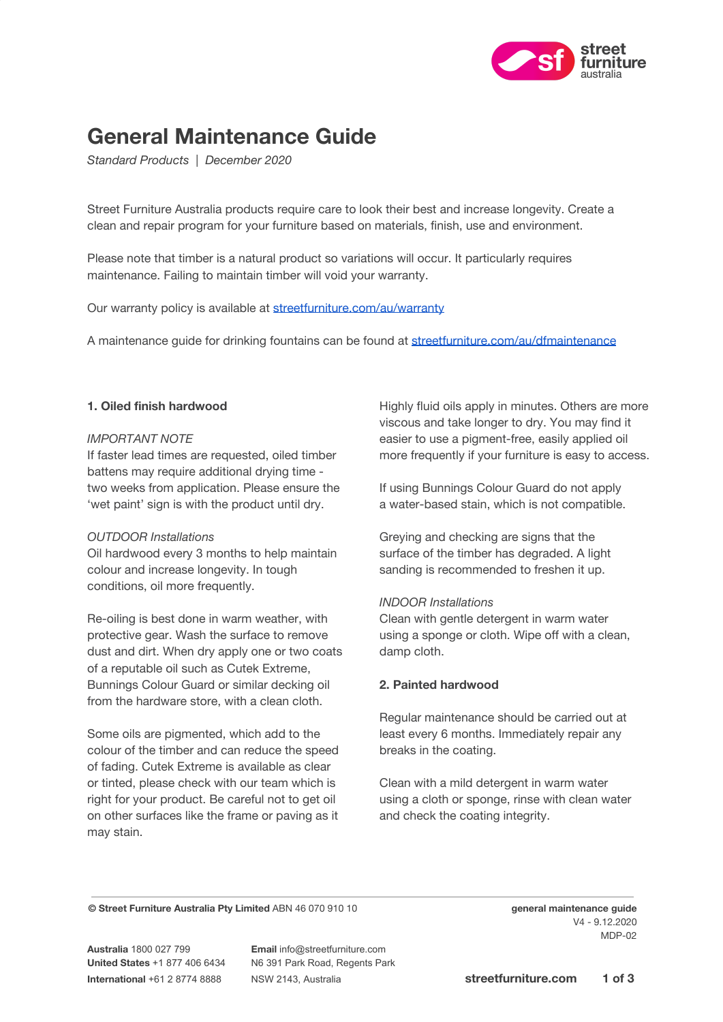

# **General Maintenance Guide**

*Standard Products | December 2020*

Street Furniture Australia products require care to look their best and increase longevity. Create a clean and repair program for your furniture based on materials, finish, use and environment.

Please note that timber is a natural product so variations will occur. It particularly requires maintenance. Failing to maintain timber will void your warranty.

Our warranty policy is available at [streetfurniture.com/au/warranty](http://streetfurniture.com/au/warranty/)

A maintenance guide for drinking fountains can be found at [streetfurniture.com/au/dfmaintenance](http://streetfurniture.com/au/dfmaintenance)

#### **1. Oiled finish hardwood**

#### *IMPORTANT NOTE*

If faster lead times are requested, oiled timber battens may require additional drying time two weeks from application. Please ensure the 'wet paint' sign is with the product until dry.

# *OUTDOOR Installations*

Oil hardwood every 3 months to help maintain colour and increase longevity. In tough conditions, oil more frequently.

Re-oiling is best done in warm weather, with protective gear. Wash the surface to remove dust and dirt. When dry apply one or two coats of a reputable oil such as Cutek Extreme, Bunnings Colour Guard or similar decking oil from the hardware store, with a clean cloth.

Some oils are pigmented, which add to the colour of the timber and can reduce the speed of fading. Cutek Extreme is available as clear or tinted, please check with our team which is right for your product. Be careful not to get oil on other surfaces like the frame or paving as it may stain.

Highly fluid oils apply in minutes. Others are more viscous and take longer to dry. You may find it easier to use a pigment-free, easily applied oil more frequently if your furniture is easy to access.

If using Bunnings Colour Guard do not apply a water-based stain, which is not compatible.

Greying and checking are signs that the surface of the timber has degraded. A light sanding is recommended to freshen it up.

#### *INDOOR Installations*

Clean with gentle detergent in warm water using a sponge or cloth. Wipe off with a clean, damp cloth.

# **2. Painted hardwood**

Regular maintenance should be carried out at least every 6 months. Immediately repair any breaks in the coating.

Clean with a mild detergent in warm water using a cloth or sponge, rinse with clean water and check the coating integrity.

**© Street Furniture Australia Pty Limited** ABN 46 070 910 10 **general maintenance guide**

**Australia** 1800 027 799 **Email** info@streetfurniture.com

**United States** +1 877 406 6434 N6 391 Park Road, Regents Park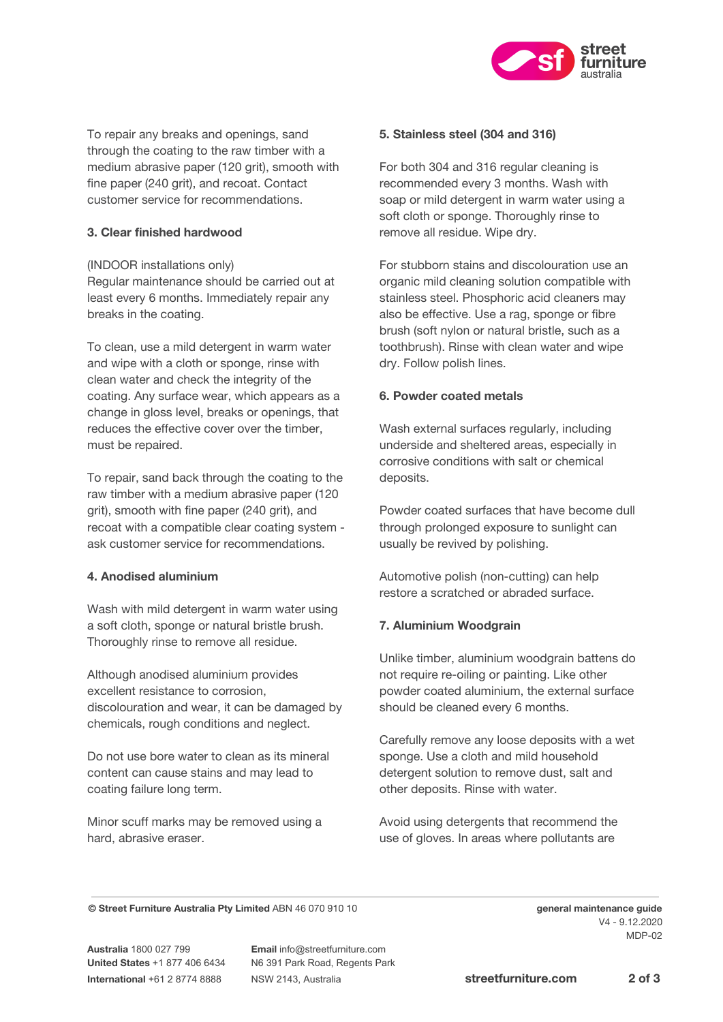

To repair any breaks and openings, sand through the coating to the raw timber with a medium abrasive paper (120 grit), smooth with fine paper (240 grit), and recoat. Contact customer service for recommendations.

# **3. Clear finished hardwood**

(INDOOR installations only)

Regular maintenance should be carried out at least every 6 months. Immediately repair any breaks in the coating.

To clean, use a mild detergent in warm water and wipe with a cloth or sponge, rinse with clean water and check the integrity of the coating. Any surface wear, which appears as a change in gloss level, breaks or openings, that reduces the effective cover over the timber, must be repaired.

To repair, sand back through the coating to the raw timber with a medium abrasive paper (120 grit), smooth with fine paper (240 grit), and recoat with a compatible clear coating system ask customer service for recommendations.

# **4. Anodised aluminium**

Wash with mild detergent in warm water using a soft cloth, sponge or natural bristle brush. Thoroughly rinse to remove all residue.

Although anodised aluminium provides excellent resistance to corrosion, discolouration and wear, it can be damaged by chemicals, rough conditions and neglect.

Do not use bore water to clean as its mineral content can cause stains and may lead to coating failure long term.

Minor scuff marks may be removed using a hard, abrasive eraser.

# **5. Stainless steel (304 and 316)**

For both 304 and 316 regular cleaning is recommended every 3 months. Wash with soap or mild detergent in warm water using a soft cloth or sponge. Thoroughly rinse to remove all residue. Wipe dry.

For stubborn stains and discolouration use an organic mild cleaning solution compatible with stainless steel. Phosphoric acid cleaners may also be effective. Use a rag, sponge or fibre brush (soft nylon or natural bristle, such as a toothbrush). Rinse with clean water and wipe dry. Follow polish lines.

# **6. Powder coated metals**

Wash external surfaces regularly, including underside and sheltered areas, especially in corrosive conditions with salt or chemical deposits.

Powder coated surfaces that have become dull through prolonged exposure to sunlight can usually be revived by polishing.

Automotive polish (non-cutting) can help restore a scratched or abraded surface.

# **7. Aluminium Woodgrain**

Unlike timber, aluminium woodgrain battens do not require re-oiling or painting. Like other powder coated aluminium, the external surface should be cleaned every 6 months.

Carefully remove any loose deposits with a wet sponge. Use a cloth and mild household detergent solution to remove dust, salt and other deposits. Rinse with water.

Avoid using detergents that recommend the use of gloves. In areas where pollutants are

**© Street Furniture Australia Pty Limited** ABN 46 070 910 10 **general maintenance guide**

**United States** +1 877 406 6434 N6 391 Park Road, Regents Park